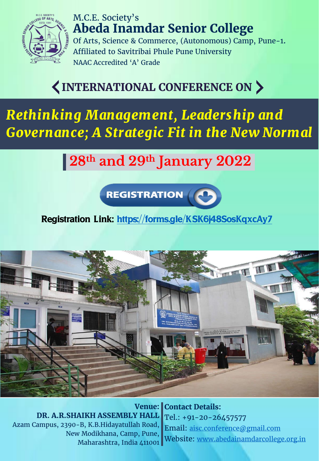

M.C.E. Society's **Abeda Inamdar Senior College** Of Arts, Science & Commerce, (Autonomous) Camp, Pune-1. Affiliated to Savitribai Phule Pune University NAAC Accredited 'A' Grade

# *INTERNATIONAL CONFERENCE ON*

*Rethinking Management, Leadership and Governance; A Strategic Fit in the New Normal*

# **28th and 29th January 2022**

**REGISTRATION** 

# Registration Link:<https://forms.gle/KSK6j48SosKqxcAy7>



**Venue: DR. A.R.SHAIKH ASSEMBLY HALL** Azam Campus, 2390-B, K.B.Hidayatullah Road, New Modikhana, Camp, Pune, Maharashtra, India 411001

**Contact Details:** Tel.: +91-20-26457577 Email: [aisc.conference@gmail.com](mailto:aisc.conference@gmail.com) Website: [www.abedainamdarcollege.org.in](http://www.abedainamdarcollege.org.in/)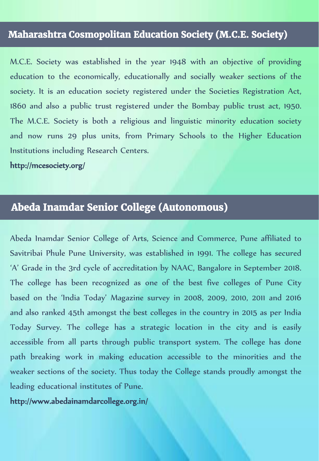### *Maharashtra Cosmopolitan Education Society (M.C.E. Society)*

M.C.E. Society was established in the year 1948 with an objective of providing education to the economically, educationally and socially weaker sections of the society. It is an education society registered under the Societies Registration Act, 1860 and also a public trust registered under the Bombay public trust act, 1950. The M.C.E. Society is both a religious and linguistic minority education society and now runs 29 plus units, from Primary Schools to the Higher Education Institutions including Research Centers.

http://mcesociety.org/

# *Abeda Inamdar Senior College (Autonomous)*

Abeda Inamdar Senior College of Arts, Science and Commerce, Pune affiliated to Savitribai Phule Pune University, was established in 1991. The college has secured 'A' Grade in the 3rd cycle of accreditation by NAAC, Bangalore in September 2018. The college has been recognized as one of the best five colleges of Pune City based on the 'India Today' Magazine survey in 2008, 2009, 2010, 2011 and 2016 and also ranked 45th amongst the best colleges in the country in 2015 as per India Today Survey. The college has a strategic location in the city and is easily accessible from all parts through public transport system. The college has done path breaking work in making education accessible to the minorities and the weaker sections of the society. Thus today the College stands proudly amongst the leading educational institutes of Pune.

http://www.abedainamdarcollege.org.in/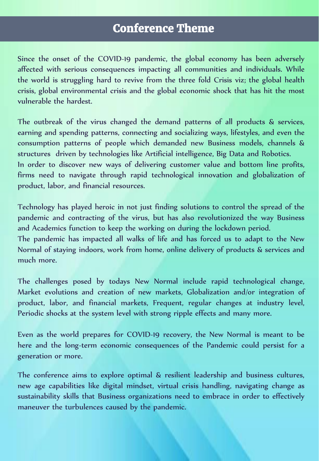# *Conference Theme*

Since the onset of the COVID-19 pandemic, the global economy has been adversely affected with serious consequences impacting all communities and individuals. While the world is struggling hard to revive from the three fold Crisis viz; the global health crisis, global environmental crisis and the global economic shock that has hit the most vulnerable the hardest.

The outbreak of the virus changed the demand patterns of all products & services, earning and spending patterns, connecting and socializing ways, lifestyles, and even the consumption patterns of people which demanded new Business models, channels & structures driven by technologies like Artificial intelligence, Big Data and Robotics. In order to discover new ways of delivering customer value and bottom line profits, firms need to navigate through rapid technological innovation and globalization of product, labor, and financial resources.

Technology has played heroic in not just finding solutions to control the spread of the pandemic and contracting of the virus, but has also revolutionized the way Business and Academics function to keep the working on during the lockdown period. The pandemic has impacted all walks of life and has forced us to adapt to the New Normal of staying indoors, work from home, online delivery of products & services and much more.

The challenges posed by todays New Normal include rapid technological change, Market evolutions and creation of new markets, Globalization and/or integration of product, labor, and financial markets, Frequent, regular changes at industry level, Periodic shocks at the system level with strong ripple effects and many more.

Even as the world prepares for COVID-19 recovery, the New Normal is meant to be here and the long-term economic consequences of the Pandemic could persist for a generation or more.

The conference aims to explore optimal & resilient leadership and business cultures, new age capabilities like digital mindset, virtual crisis handling, navigating change as sustainability skills that Business organizations need to embrace in order to effectively maneuver the turbulences caused by the pandemic.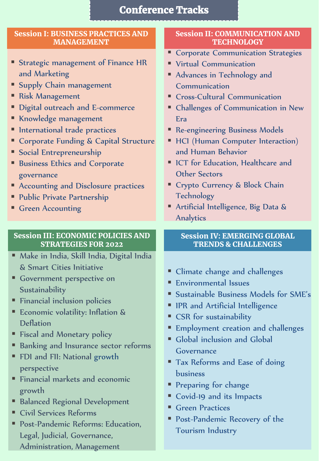# Conference Tracks

#### Session I: BUSINESS PRACTICES AND MANAGEMENT

- **Exercise Strategic management of Finance HR** and Marketing
- **Supply Chain management**
- Risk Management
- **Digital outreach and E-commerce**
- **Knowledge management**
- **International trade practices**
- **EX Corporate Funding & Capital Structure**
- **Social Entrepreneurship**
- **Business Ethics and Corporate** governance
- **EX Accounting and Disclosure practices**
- Public Private Partnership
- **Green Accounting**

#### Session III: ECONOMIC POLICIES AND STRATEGIES FOR 2022

- Make in India, Skill India, Digital India & Smart Cities Initiative
- **Government perspective on Sustainability**
- **Financial inclusion policies**
- **Economic volatility: Inflation &** Deflation
- **Fiscal and Monetary policy**
- **Banking and Insurance sector reforms**
- **FDI** and FII: National growth perspective
- Financial markets and economic growth
- **Balanced Regional Development**
- Civil Services Reforms
- Post-Pandemic Reforms: Education, Legal, Judicial, Governance, Administration, Management

#### Session II: COMMUNICATION AND **TECHNOLOGY**

- **Corporate Communication Strategies**
- **Virtual Communication**
- Advances in Technology and Communication
- Cross-Cultural Communication
- Challenges of Communication in New Era
- **Re-engineering Business Models**
- **HCI** (Human Computer Interaction) and Human Behavior
- ICT for Education, Healthcare and Other Sectors
- **Crypto Currency & Block Chain Technology**
- Artificial Intelligence, Big Data & Analytics

#### Session IV: EMERGING GLOBAL TRENDS & CHALLENGES

- Climate change and challenges
- Environmental Issues
- Sustainable Business Models for SME's
- **IPR** and Artificial Intelligence
- **CSR** for sustainability
- **Employment creation and challenges**
- Global inclusion and Global Governance
- **Tax Reforms and Ease of doing** business
- **Preparing for change**
- Covid-19 and its Impacts
- **Green Practices**
- Post-Pandemic Recovery of the Tourism Industry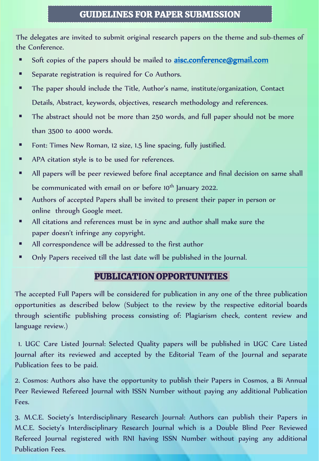#### GUIDELINES FOR PAPER SUBMISSION

The delegates are invited to submit original research papers on the theme and sub-themes of the Conference.

- Soft copies of the papers should be mailed to **[aisc.conference@gmail.com](mailto:aisc.conference@gmail.com)**
- Separate registration is required for Co Authors.
- The paper should include the Title, Author's name, institute/organization, Contact Details, Abstract, keywords, objectives, research methodology and references.
- The abstract should not be more than 250 words, and full paper should not be more than 3500 to 4000 words.
- Font: Times New Roman, 12 size, 1.5 line spacing, fully justified.
- APA citation style is to be used for references.
- All papers will be peer reviewed before final acceptance and final decision on same shall be communicated with email on or before 10<sup>th</sup> January 2022.
- Authors of accepted Papers shall be invited to present their paper in person or online through Google meet.
- All citations and references must be in sync and author shall make sure the paper doesn't infringe any copyright.
- All correspondence will be addressed to the first author
- Only Papers received till the last date will be published in the Journal.

#### PUBLICATION OPPORTUNITIES

The accepted Full Papers will be considered for publication in any one of the three publication opportunities as described below (Subject to the review by the respective editorial boards through scientific publishing process consisting of: Plagiarism check, content review and language review.)

1. UGC Care Listed Journal: Selected Quality papers will be published in UGC Care Listed Journal after its reviewed and accepted by the Editorial Team of the Journal and separate Publication fees to be paid.

2. Cosmos: Authors also have the opportunity to publish their Papers in Cosmos, a Bi Annual Peer Reviewed Refereed Journal with ISSN Number without paying any additional Publication Fees.

3. M.C.E. Society's Interdisciplinary Research Journal: Authors can publish their Papers in M.C.E. Society's Interdisciplinary Research Journal which is a Double Blind Peer Reviewed Refereed Journal registered with RNI having ISSN Number without paying any additional Publication Fees.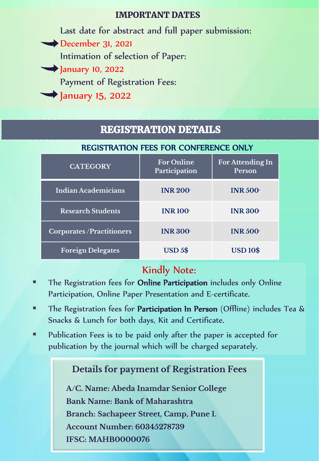#### IMPORTANT DATES

Last date for abstract and full paper submission: December 31, 2021 Intimation of selection of Paper: **January 10, 2022** Payment of Registration Fees: January 15, 2022

# REGISTRATION DETAILS

#### REGISTRATION FEES FOR CONFERENCE ONLY

| <b>CATEGORY</b>                 | <b>For Online</b><br>Participation | <b>For Attending In</b><br>Person |
|---------------------------------|------------------------------------|-----------------------------------|
| <b>Indian Academicians</b>      | <b>INR 200</b>                     | <b>INR 500</b>                    |
| <b>Research Students</b>        | <b>INR 100</b>                     | <b>INR 300</b>                    |
| <b>Corporates/Practitioners</b> | <b>INR 300</b>                     | <b>INR 500</b>                    |
| <b>Foreign Delegates</b>        | <b>USD 5\$</b>                     | <b>USD 10\$</b>                   |

# Kindly Note:

- The Registration fees for Online Participation includes only Online Participation, Online Paper Presentation and E-certificate.
- **The Registration fees for Participation In Person** (Offline) includes Tea & Snacks & Lunch for both days, Kit and Certificate.
- Publication Fees is to be paid only after the paper is accepted for publication by the journal which will be charged separately.

# **Details for payment of Registration Fees**

**A/C. Name: Abeda Inamdar Senior College Bank Name: Bank of Maharashtra Branch: Sachapeer Street, Camp, Pune 1. Account Number: 60345278739 IFSC: MAHB0000076**